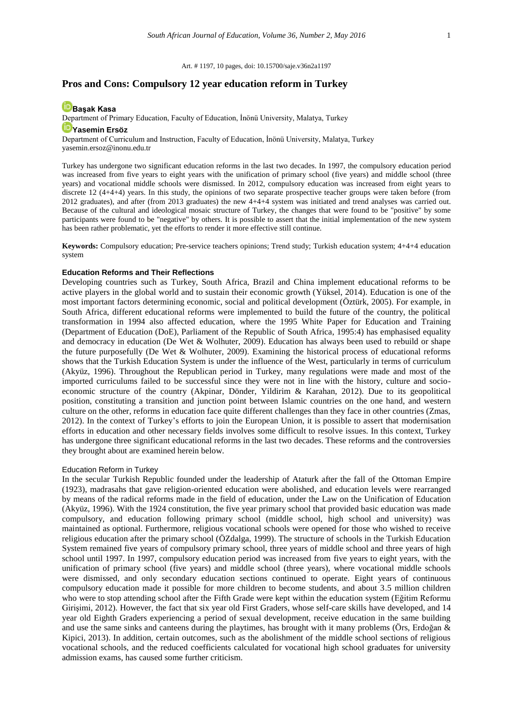Art. # 1197, 10 pages, doi: 10.15700/saje.v36n2a1197

## **Pros and Cons: Compulsory 12 year education reform in Turkey**

## **[Başak Kasa](http://orcid.org/0000-0001-5926-3380)**

Department of Primary Education, Faculty of Education, İnönü University, Malatya, Turkey

# **[Yasemin Ersöz](http://orcid.org/0000-0001-7386-2961)**

Department of Curriculum and Instruction, Faculty of Education, İnönü University, Malatya, Turkey [yasemin.ersoz@inonu.edu.tr](mailto:yasemin.ersoz@inonu.edu.tr)

Turkey has undergone two significant education reforms in the last two decades. In 1997, the compulsory education period was increased from five years to eight years with the unification of primary school (five years) and middle school (three years) and vocational middle schools were dismissed. In 2012, compulsory education was increased from eight years to discrete 12 (4+4+4) years. In this study, the opinions of two separate prospective teacher groups were taken before (from 2012 graduates), and after (from 2013 graduates) the new 4+4+4 system was initiated and trend analyses was carried out. Because of the cultural and ideological mosaic structure of Turkey, the changes that were found to be "positive" by some participants were found to be "negative" by others. It is possible to assert that the initial implementation of the new system has been rather problematic, yet the efforts to render it more effective still continue.

**Keywords:** Compulsory education; Pre-service teachers opinions; Trend study; Turkish education system; 4+4+4 education system

#### **Education Reforms and Their Reflections**

Developing countries such as Turkey, South Africa, Brazil and China implement educational reforms to be active players in the global world and to sustain their economic growth (Yüksel, 2014). Education is one of the most important factors determining economic, social and political development (Öztürk, 2005). For example, in South Africa, different educational reforms were implemented to build the future of the country, the political transformation in 1994 also affected education, where the 1995 White Paper for Education and Training (Department of Education (DoE), Parliament of the Republic of South Africa, 1995:4) has emphasised equality and democracy in education (De Wet & Wolhuter, 2009). Education has always been used to rebuild or shape the future purposefully (De Wet & Wolhuter, 2009). Examining the historical process of educational reforms shows that the Turkish Education System is under the influence of the West, particularly in terms of curriculum (Akyüz, 1996). Throughout the Republican period in Turkey, many regulations were made and most of the imported curriculums failed to be successful since they were not in line with the history, culture and socioeconomic structure of the country (Akpinar, Dönder, Yildirim & Karahan, 2012). Due to its geopolitical position, constituting a transition and junction point between Islamic countries on the one hand, and western culture on the other, reforms in education face quite different challenges than they face in other countries (Zmas, 2012). In the context of Turkey's efforts to join the European Union, it is possible to assert that modernisation efforts in education and other necessary fields involves some difficult to resolve issues. In this context, Turkey has undergone three significant educational reforms in the last two decades. These reforms and the controversies they brought about are examined herein below.

#### Education Reform in Turkey

In the secular Turkish Republic founded under the leadership of Ataturk after the fall of the Ottoman Empire (1923), madrasahs that gave religion-oriented education were abolished, and education levels were rearranged by means of the radical reforms made in the field of education, under the Law on the Unification of Education (Akyüz, 1996). With the 1924 constitution, the five year primary school that provided basic education was made compulsory, and education following primary school (middle school, high school and university) was maintained as optional. Furthermore, religious vocational schools were opened for those who wished to receive religious education after the primary school (ÖZdalga, 1999). The structure of schools in the Turkish Education System remained five years of compulsory primary school, three years of middle school and three years of high school until 1997. In 1997, compulsory education period was increased from five years to eight years, with the unification of primary school (five years) and middle school (three years), where vocational middle schools were dismissed, and only secondary education sections continued to operate. Eight years of continuous compulsory education made it possible for more children to become students, and about 3.5 million children who were to stop attending school after the Fifth Grade were kept within the education system (Eğitim Reformu Girişimi, 2012). However, the fact that six year old First Graders, whose self-care skills have developed, and 14 year old Eighth Graders experiencing a period of sexual development, receive education in the same building and use the same sinks and canteens during the playtimes, has brought with it many problems (Örs, Erdoğan & Kipici, 2013). In addition, certain outcomes, such as the abolishment of the middle school sections of religious vocational schools, and the reduced coefficients calculated for vocational high school graduates for university admission exams, has caused some further criticism.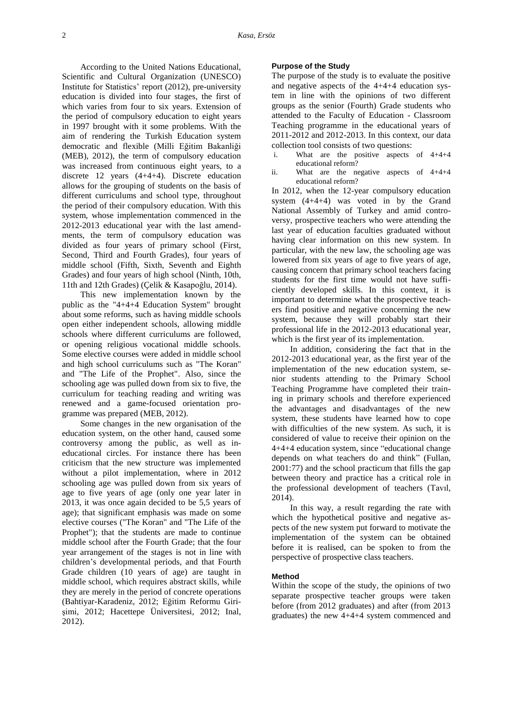According to the United Nations Educational, Scientific and Cultural Organization (UNESCO) Institute for Statistics' report (2012), pre-university education is divided into four stages, the first of which varies from four to six years. Extension of the period of compulsory education to eight years in 1997 brought with it some problems. With the aim of rendering the Turkish Education system democratic and flexible (Milli Eğitim Bakanliği (MEB), 2012), the term of compulsory education was increased from continuous eight years, to a discrete 12 years (4+4+4). Discrete education allows for the grouping of students on the basis of different curriculums and school type, throughout the period of their compulsory education. With this system, whose implementation commenced in the 2012-2013 educational year with the last amendments, the term of compulsory education was divided as four years of primary school (First, Second, Third and Fourth Grades), four years of middle school (Fifth, Sixth, Seventh and Eighth Grades) and four years of high school (Ninth, 10th, 11th and 12th Grades) (Çelik & Kasapoğlu, 2014).

This new implementation known by the public as the "4+4+4 Education System" brought about some reforms, such as having middle schools open either independent schools, allowing middle schools where different curriculums are followed, or opening religious vocational middle schools. Some elective courses were added in middle school and high school curriculums such as "The Koran" and "The Life of the Prophet". Also, since the schooling age was pulled down from six to five, the curriculum for teaching reading and writing was renewed and a game-focused orientation programme was prepared (MEB, 2012).

Some changes in the new organisation of the education system, on the other hand, caused some controversy among the public, as well as ineducational circles. For instance there has been criticism that the new structure was implemented without a pilot implementation, where in 2012 schooling age was pulled down from six years of age to five years of age (only one year later in 2013, it was once again decided to be 5,5 years of age); that significant emphasis was made on some elective courses ("The Koran" and "The Life of the Prophet"); that the students are made to continue middle school after the Fourth Grade; that the four year arrangement of the stages is not in line with children's developmental periods, and that Fourth Grade children (10 years of age) are taught in middle school, which requires abstract skills, while they are merely in the period of concrete operations (Bahtiyar-Karadeniz, 2012; Eğitim Reformu Girişimi, 2012; Hacettepe Üniversitesi, 2012; Inal, 2012).

## **Purpose of the Study**

The purpose of the study is to evaluate the positive and negative aspects of the 4+4+4 education system in line with the opinions of two different groups as the senior (Fourth) Grade students who attended to the Faculty of Education - Classroom Teaching programme in the educational years of 2011-2012 and 2012-2013. In this context, our data collection tool consists of two questions:

- i. What are the positive aspects of 4+4+4 educational reform?
- ii. What are the negative aspects of 4+4+4 educational reform?

In 2012, when the 12-year compulsory education system (4+4+4) was voted in by the Grand National Assembly of Turkey and amid controversy, prospective teachers who were attending the last year of education faculties graduated without having clear information on this new system. In particular, with the new law, the schooling age was lowered from six years of age to five years of age, causing concern that primary school teachers facing students for the first time would not have sufficiently developed skills. In this context, it is important to determine what the prospective teachers find positive and negative concerning the new system, because they will probably start their professional life in the 2012-2013 educational year, which is the first year of its implementation.

In addition, considering the fact that in the 2012-2013 educational year, as the first year of the implementation of the new education system, senior students attending to the Primary School Teaching Programme have completed their training in primary schools and therefore experienced the advantages and disadvantages of the new system, these students have learned how to cope with difficulties of the new system. As such, it is considered of value to receive their opinion on the 4+4+4 education system, since "educational change depends on what teachers do and think" (Fullan, 2001:77) and the school practicum that fills the gap between theory and practice has a critical role in the professional development of teachers (Tavıl, 2014).

In this way, a result regarding the rate with which the hypothetical positive and negative aspects of the new system put forward to motivate the implementation of the system can be obtained before it is realised, can be spoken to from the perspective of prospective class teachers.

#### **Method**

Within the scope of the study, the opinions of two separate prospective teacher groups were taken before (from 2012 graduates) and after (from 2013 graduates) the new 4+4+4 system commenced and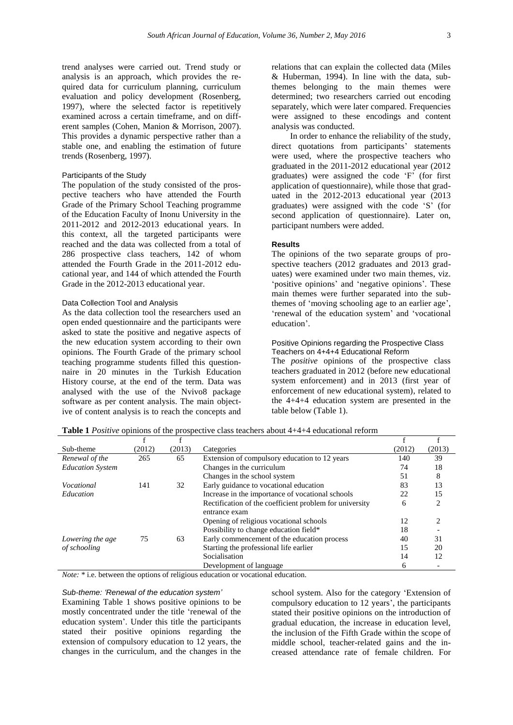trend analyses were carried out. Trend study or analysis is an approach, which provides the required data for curriculum planning, curriculum evaluation and policy development (Rosenberg, 1997), where the selected factor is repetitively examined across a certain timeframe, and on different samples (Cohen, Manion & Morrison, 2007). This provides a dynamic perspective rather than a stable one, and enabling the estimation of future trends (Rosenberg, 1997).

## Participants of the Study

The population of the study consisted of the prospective teachers who have attended the Fourth Grade of the Primary School Teaching programme of the Education Faculty of Inonu University in the 2011-2012 and 2012-2013 educational years. In this context, all the targeted participants were reached and the data was collected from a total of 286 prospective class teachers, 142 of whom attended the Fourth Grade in the 2011-2012 educational year, and 144 of which attended the Fourth Grade in the 2012-2013 educational year.

## Data Collection Tool and Analysis

As the data collection tool the researchers used an open ended questionnaire and the participants were asked to state the positive and negative aspects of the new education system according to their own opinions. The Fourth Grade of the primary school teaching programme students filled this questionnaire in 20 minutes in the Turkish Education History course, at the end of the term. Data was analysed with the use of the Nvivo8 package software as per content analysis. The main objective of content analysis is to reach the concepts and relations that can explain the collected data (Miles & Huberman, 1994). In line with the data, subthemes belonging to the main themes were determined; two researchers carried out encoding separately, which were later compared. Frequencies were assigned to these encodings and content analysis was conducted.

In order to enhance the reliability of the study, direct quotations from participants' statements were used, where the prospective teachers who graduated in the 2011-2012 educational year (2012 graduates) were assigned the code 'F' (for first application of questionnaire), while those that graduated in the 2012-2013 educational year (2013 graduates) were assigned with the code 'S' (for second application of questionnaire). Later on, participant numbers were added.

#### **Results**

The opinions of the two separate groups of prospective teachers (2012 graduates and 2013 graduates) were examined under two main themes, viz. 'positive opinions' and 'negative opinions'. These main themes were further separated into the subthemes of 'moving schooling age to an earlier age', 'renewal of the education system' and 'vocational education'.

## Positive Opinions regarding the Prospective Class Teachers on 4+4+4 Educational Reform

The *positive* opinions of the prospective class teachers graduated in 2012 (before new educational system enforcement) and in 2013 (first year of enforcement of new educational system), related to the 4+4+4 education system are presented in the table below (Table 1).

| Sub-theme               | (2012) | (2013) | Categories                                              | (2012) | (2013) |
|-------------------------|--------|--------|---------------------------------------------------------|--------|--------|
| Renewal of the          | 265    | 65     | Extension of compulsory education to 12 years           | 140    | 39     |
| <b>Education System</b> |        |        | Changes in the curriculum                               | 74     | 18     |
|                         |        |        | Changes in the school system                            | 51     | 8      |
| <i>Vocational</i>       | 141    | 32     | Early guidance to vocational education                  | 83     | 13     |
| Education               |        |        | Increase in the importance of vocational schools        | 22     | 15     |
|                         |        |        | Rectification of the coefficient problem for university | 6      | ↑      |
|                         |        |        | entrance exam                                           |        |        |
|                         |        |        | Opening of religious vocational schools                 | 12     | ↑      |
|                         |        |        | Possibility to change education field*                  | 18     |        |
| Lowering the age        | 75     | 63     | Early commencement of the education process             | 40     | 31     |
| of schooling            |        |        | Starting the professional life earlier                  | 15     | 20     |
|                         |        |        | Socialisation                                           | 14     | 12     |
|                         |        |        | Development of language                                 | 6      |        |

*Note:* \* i.e. between the options of religious education or vocational education.

*Sub-theme: 'Renewal of the education system'* Examining Table 1 shows positive opinions to be mostly concentrated under the title 'renewal of the education system'. Under this title the participants stated their positive opinions regarding the extension of compulsory education to 12 years, the changes in the curriculum, and the changes in the

school system. Also for the category 'Extension of compulsory education to 12 years', the participants stated their positive opinions on the introduction of gradual education, the increase in education level, the inclusion of the Fifth Grade within the scope of middle school, teacher-related gains and the increased attendance rate of female children. For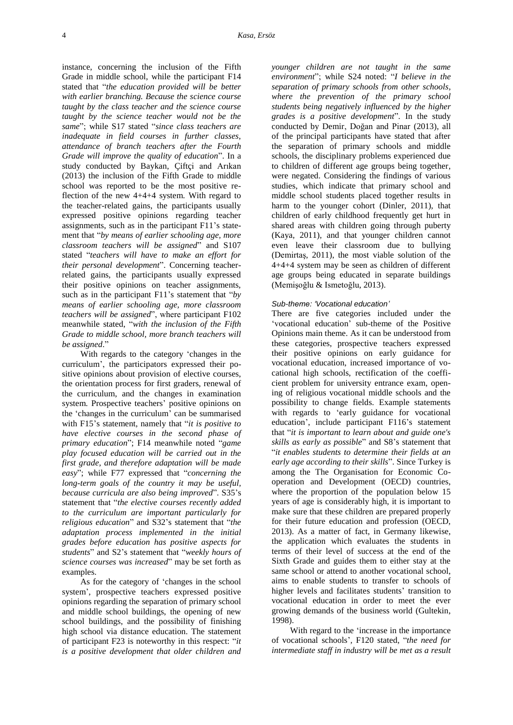instance, concerning the inclusion of the Fifth Grade in middle school, while the participant F14 stated that "*the education provided will be better with earlier branching. Because the science course taught by the class teacher and the science course taught by the science teacher would not be the same*"; while S17 stated "*since class teachers are inadequate in field courses in further classes, attendance of branch teachers after the Fourth Grade will improve the quality of education*". In a study conducted by Baykan, Çiftçi and Arıkan (2013) the inclusion of the Fifth Grade to middle school was reported to be the most positive reflection of the new 4+4+4 system. With regard to the teacher-related gains, the participants usually expressed positive opinions regarding teacher assignments, such as in the participant F11's statement that "*by means of earlier schooling age, more classroom teachers will be assigned*" and S107 stated "*teachers will have to make an effort for their personal development*". Concerning teacherrelated gains, the participants usually expressed their positive opinions on teacher assignments, such as in the participant F11's statement that "*by means of earlier schooling age, more classroom teachers will be assigned*", where participant F102 meanwhile stated, "*with the inclusion of the Fifth Grade to middle school, more branch teachers will be assigned*."

With regards to the category 'changes in the curriculum', the participators expressed their positive opinions about provision of elective courses, the orientation process for first graders, renewal of the curriculum, and the changes in examination system. Prospective teachers' positive opinions on the 'changes in the curriculum' can be summarised with F15's statement, namely that "*it is positive to have elective courses in the second phase of primary education*"; F14 meanwhile noted "*game play focused education will be carried out in the first grade, and therefore adaptation will be made easy*"; while F77 expressed that "*concerning the long-term goals of the country it may be useful, because curricula are also being improved*". S35's statement that "*the elective courses recently added to the curriculum are important particularly for religious education*" and S32's statement that "*the adaptation process implemented in the initial grades before education has positive aspects for students*" and S2's statement that "*weekly hours of science courses was increased*" may be set forth as examples.

As for the category of 'changes in the school system', prospective teachers expressed positive opinions regarding the separation of primary school and middle school buildings, the opening of new school buildings, and the possibility of finishing high school via distance education. The statement of participant F23 is noteworthy in this respect: "*it is a positive development that older children and*  *younger children are not taught in the same environment*"; while S24 noted: "*I believe in the separation of primary schools from other schools, where the prevention of the primary school students being negatively influenced by the higher grades is a positive development*". In the study conducted by Demir, Doğan and Pinar (2013), all of the principal participants have stated that after the separation of primary schools and middle schools, the disciplinary problems experienced due to children of different age groups being together, were negated. Considering the findings of various studies, which indicate that primary school and middle school students placed together results in harm to the younger cohort (Dinler, 2011), that children of early childhood frequently get hurt in shared areas with children going through puberty (Kaya, 2011), and that younger children cannot even leave their classroom due to bullying (Demirtaş, 2011), the most viable solution of the 4+4+4 system may be seen as children of different age groups being educated in separate buildings (Memişoğlu & Ismetoğlu, 2013).

#### *Sub-theme: 'Vocational education'*

There are five categories included under the 'vocational education' sub-theme of the Positive Opinions main theme. As it can be understood from these categories, prospective teachers expressed their positive opinions on early guidance for vocational education, increased importance of vocational high schools, rectification of the coefficient problem for university entrance exam, opening of religious vocational middle schools and the possibility to change fields. Example statements with regards to 'early guidance for vocational education', include participant F116's statement that "*it is important to learn about and guide one's skills as early as possible*" and S8's statement that "*it enables students to determine their fields at an early age according to their skills*". Since Turkey is among the The Organisation for Economic Cooperation and Development (OECD) countries, where the proportion of the population below 15 years of age is considerably high, it is important to make sure that these children are prepared properly for their future education and profession (OECD, 2013). As a matter of fact, in Germany likewise, the application which evaluates the students in terms of their level of success at the end of the Sixth Grade and guides them to either stay at the same school or attend to another vocational school, aims to enable students to transfer to schools of higher levels and facilitates students' transition to vocational education in order to meet the ever growing demands of the business world (Gultekin, 1998).

With regard to the 'increase in the importance of vocational schools'*,* F120 stated, "*the need for intermediate staff in industry will be met as a result*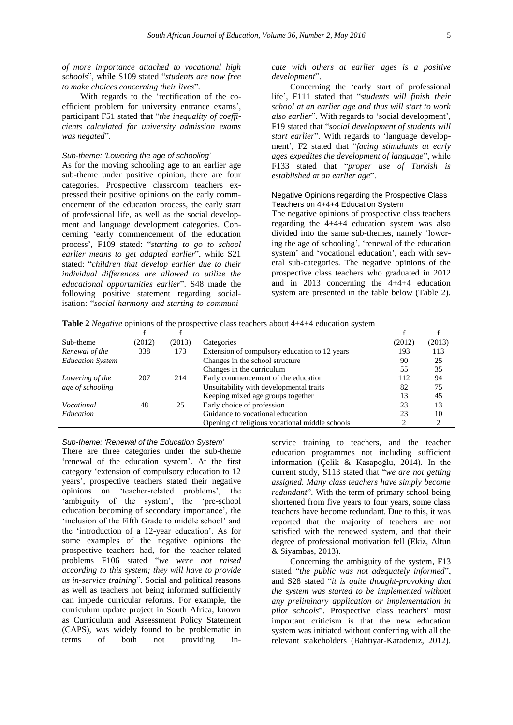With regards to the 'rectification of the coefficient problem for university entrance exams', participant F51 stated that "*the inequality of coefficients calculated for university admission exams was negated*".

## *Sub-theme: 'Lowering the age of schooling'*

As for the moving schooling age to an earlier age sub-theme under positive opinion, there are four categories. Prospective classroom teachers expressed their positive opinions on the early commencement of the education process, the early start of professional life, as well as the social development and language development categories. Concerning 'early commencement of the education process', F109 stated: "*starting to go to school earlier means to get adapted earlier*", while S21 stated: "*children that develop earlier due to their individual differences are allowed to utilize the educational opportunities earlier*". S48 made the following positive statement regarding socialisation: "*social harmony and starting to communi-* *cate with others at earlier ages is a positive development*".

Concerning the 'early start of professional life', F111 stated that "*students will finish their school at an earlier age and thus will start to work also earlier*". With regards to 'social development', F19 stated that "*social development of students will start earlier*". With regards to 'language development', F2 stated that "*facing stimulants at early ages expedites the development of language*", while F133 stated that "*proper use of Turkish is established at an earlier age*".

## Negative Opinions regarding the Prospective Class Teachers on 4+4+4 Education System

The negative opinions of prospective class teachers regarding the 4+4+4 education system was also divided into the same sub-themes, namely 'lowering the age of schooling', 'renewal of the education system' and 'vocational education', each with several sub-categories. The negative opinions of the prospective class teachers who graduated in 2012 and in 2013 concerning the 4+4+4 education system are presented in the table below (Table 2).

| Sub-theme               | (2012) | (2013) | Categories                                     | (2012) | (2013) |
|-------------------------|--------|--------|------------------------------------------------|--------|--------|
| Renewal of the          | 338    | 173    | Extension of compulsory education to 12 years  | 193    | 113    |
| <b>Education System</b> |        |        | Changes in the school structure                | 90     | 25     |
|                         |        |        | Changes in the curriculum                      | 55     | 35     |
| Lowering of the         | 207    | 214    | Early commencement of the education            | 112    | 94     |
| age of schooling        |        |        | Unsuitability with developmental traits        | 82     | 75     |
|                         |        |        | Keeping mixed age groups together              | 13     | 45     |
| Vocational              | 48     | 25     | Early choice of profession                     | 23     | 13     |
| Education               |        |        | Guidance to vocational education               | 23     | 10     |
|                         |        |        | Opening of religious vocational middle schools |        |        |

*Sub-theme: 'Renewal of the Education System'*

There are three categories under the sub-theme 'renewal of the education system'. At the first category 'extension of compulsory education to 12 years', prospective teachers stated their negative opinions on 'teacher-related problems', the 'ambiguity of the system', the 'pre-school education becoming of secondary importance', the 'inclusion of the Fifth Grade to middle school' and the 'introduction of a 12-year education'. As for some examples of the negative opinions the prospective teachers had, for the teacher-related problems F106 stated "*we were not raised according to this system; they will have to provide us in-service training*". Social and political reasons as well as teachers not being informed sufficiently can impede curricular reforms. For example, the curriculum update project in South Africa, known as Curriculum and Assessment Policy Statement (CAPS), was widely found to be problematic in terms of both not providing in-

service training to teachers, and the teacher education programmes not including sufficient information (Çelik & Kasapoğlu, 2014). In the current study, S113 stated that "*we are not getting assigned. Many class teachers have simply become redundant*". With the term of primary school being shortened from five years to four years, some class teachers have become redundant. Due to this, it was reported that the majority of teachers are not satisfied with the renewed system, and that their degree of professional motivation fell (Ekiz, Altun & Siyambas, 2013).

Concerning the ambiguity of the system, F13 stated "*the public was not adequately informed*", and S28 stated "*it is quite thought-provoking that the system was started to be implemented without any preliminary application or implementation in pilot schools*". Prospective class teachers' most important criticism is that the new education system was initiated without conferring with all the relevant stakeholders (Bahtiyar-Karadeniz, 2012).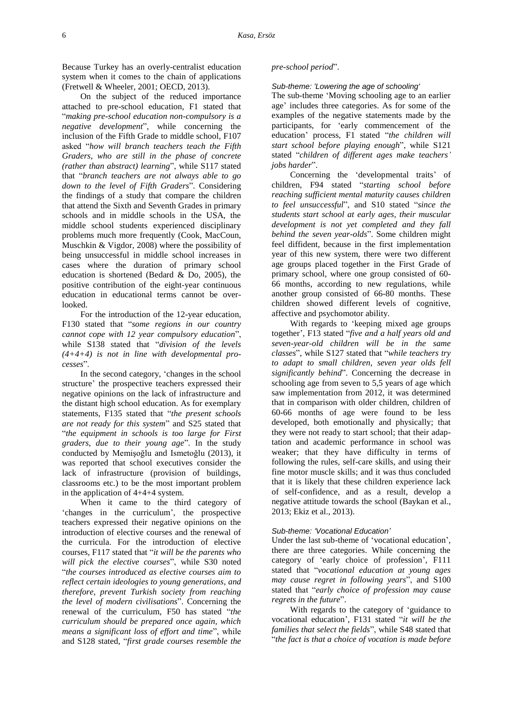Because Turkey has an overly-centralist education system when it comes to the chain of applications (Fretwell & Wheeler, 2001; OECD, 2013).

On the subject of the reduced importance attached to pre-school education, F1 stated that "*making pre-school education non-compulsory is a negative development*", while concerning the inclusion of the Fifth Grade to middle school, F107 asked "*how will branch teachers teach the Fifth Graders, who are still in the phase of concrete (rather than abstract) learning*", while S117 stated that "*branch teachers are not always able to go down to the level of Fifth Graders*". Considering the findings of a study that compare the children that attend the Sixth and Seventh Grades in primary schools and in middle schools in the USA, the middle school students experienced disciplinary problems much more frequently (Cook, MacCoun, Muschkin & Vigdor, 2008) where the possibility of being unsuccessful in middle school increases in cases where the duration of primary school education is shortened (Bedard & Do, 2005), the positive contribution of the eight-year continuous education in educational terms cannot be overlooked.

For the introduction of the 12-year education, F130 stated that "*some regions in our country cannot cope with 12 year compulsory education*", while S138 stated that "*division of the levels (4+4+4) is not in line with developmental processes*".

In the second category, 'changes in the school structure' the prospective teachers expressed their negative opinions on the lack of infrastructure and the distant high school education. As for exemplary statements, F135 stated that "*the present schools are not ready for this system*" and S25 stated that "*the equipment in schools is too large for First graders, due to their young age*". In the study conducted by Memişoğlu and Ismetoğlu (2013), it was reported that school executives consider the lack of infrastructure (provision of buildings, classrooms etc.) to be the most important problem in the application of 4+4+4 system.

When it came to the third category of 'changes in the curriculum', the prospective teachers expressed their negative opinions on the introduction of elective courses and the renewal of the curricula. For the introduction of elective courses, F117 stated that "*it will be the parents who will pick the elective courses*", while S30 noted "*the courses introduced as elective courses aim to reflect certain ideologies to young generations, and therefore, prevent Turkish society from reaching the level of modern civilisations*". Concerning the renewal of the curriculum, F50 has stated "*the curriculum should be prepared once again, which means a significant loss of effort and time*", while and S128 stated, "*first grade courses resemble the*

#### *pre-school period*".

#### *Sub-theme: 'Lowering the age of schooling'*

The sub-theme 'Moving schooling age to an earlier age' includes three categories. As for some of the examples of the negative statements made by the participants, for 'early commencement of the education' process, F1 stated "*the children will start school before playing enough*", while S121 stated "*children of different ages make teachers' jobs harder*".

Concerning the 'developmental traits' of children, F94 stated "*starting school before reaching sufficient mental maturity causes children to feel unsuccessful*", and S10 stated "*since the students start school at early ages, their muscular development is not yet completed and they fall behind the seven year-olds*". Some children might feel diffident, because in the first implementation year of this new system, there were two different age groups placed together in the First Grade of primary school, where one group consisted of 60- 66 months, according to new regulations, while another group consisted of 66-80 months. These children showed different levels of cognitive, affective and psychomotor ability.

With regards to 'keeping mixed age groups together', F13 stated "*five and a half years old and seven-year-old children will be in the same classes*", while S127 stated that "*while teachers try to adapt to small children, seven year olds fell significantly behind*". Concerning the decrease in schooling age from seven to 5,5 years of age which saw implementation from 2012, it was determined that in comparison with older children, children of 60-66 months of age were found to be less developed, both emotionally and physically; that they were not ready to start school; that their adaptation and academic performance in school was weaker; that they have difficulty in terms of following the rules, self-care skills, and using their fine motor muscle skills; and it was thus concluded that it is likely that these children experience lack of self-confidence, and as a result, develop a negative attitude towards the school (Baykan et al., 2013; Ekiz et al., 2013).

#### *Sub-theme: 'Vocational Education'*

Under the last sub-theme of 'vocational education', there are three categories. While concerning the category of 'early choice of profession', F111 stated that "*vocational education at young ages may cause regret in following years*", and S100 stated that "*early choice of profession may cause regrets in the future*".

With regards to the category of 'guidance to vocational education', F131 stated "*it will be the families that select the fields*", while S48 stated that "*the fact is that a choice of vocation is made before*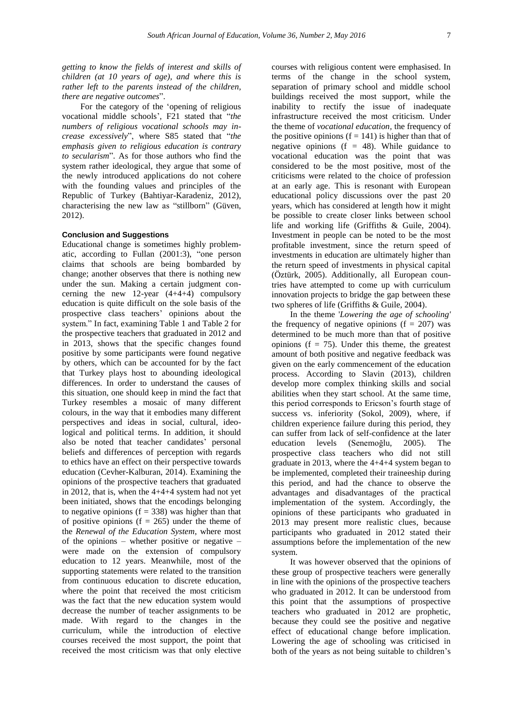*getting to know the fields of interest and skills of children (at 10 years of age), and where this is rather left to the parents instead of the children, there are negative outcomes*".

For the category of the 'opening of religious vocational middle schools', F21 stated that "*the numbers of religious vocational schools may increase excessively*", where S85 stated that "*the emphasis given to religious education is contrary to secularism*". As for those authors who find the system rather ideological, they argue that some of the newly introduced applications do not cohere with the founding values and principles of the Republic of Turkey (Bahtiyar-Karadeniz, 2012), characterising the new law as "stillborn" (Güven, 2012).

## **Conclusion and Suggestions**

Educational change is sometimes highly problematic, according to Fullan (2001:3), "one person claims that schools are being bombarded by change; another observes that there is nothing new under the sun. Making a certain judgment concerning the new 12-year  $(4+4+4)$  compulsory education is quite difficult on the sole basis of the prospective class teachers' opinions about the system." In fact, examining Table 1 and Table 2 for the prospective teachers that graduated in 2012 and in 2013, shows that the specific changes found positive by some participants were found negative by others, which can be accounted for by the fact that Turkey plays host to abounding ideological differences. In order to understand the causes of this situation, one should keep in mind the fact that Turkey resembles a mosaic of many different colours, in the way that it embodies many different perspectives and ideas in social, cultural, ideological and political terms. In addition, it should also be noted that teacher candidates' personal beliefs and differences of perception with regards to ethics have an effect on their perspective towards education (Cevher-Kalburan, 2014). Examining the opinions of the prospective teachers that graduated in 2012, that is, when the 4+4+4 system had not yet been initiated, shows that the encodings belonging to negative opinions  $(f = 338)$  was higher than that of positive opinions ( $f = 265$ ) under the theme of the *Renewal of the Education System*, where most of the opinions – whether positive or negative – were made on the extension of compulsory education to 12 years. Meanwhile, most of the supporting statements were related to the transition from continuous education to discrete education, where the point that received the most criticism was the fact that the new education system would decrease the number of teacher assignments to be made. With regard to the changes in the curriculum, while the introduction of elective courses received the most support, the point that received the most criticism was that only elective

courses with religious content were emphasised. In terms of the change in the school system, separation of primary school and middle school buildings received the most support, while the inability to rectify the issue of inadequate infrastructure received the most criticism. Under the theme of *vocational education,* the frequency of the positive opinions  $(f = 141)$  is higher than that of negative opinions ( $f = 48$ ). While guidance to vocational education was the point that was considered to be the most positive, most of the criticisms were related to the choice of profession at an early age. This is resonant with European educational policy discussions over the past 20 years, which has considered at length how it might be possible to create closer links between school life and working life (Griffiths & Guile, 2004). Investment in people can be noted to be the most profitable investment, since the return speed of investments in education are ultimately higher than the return speed of investments in physical capital (Öztürk, 2005). Additionally, all European countries have attempted to come up with curriculum innovation projects to bridge the gap between these two spheres of life (Griffiths & Guile, 2004).

In the theme '*Lowering the age of schooling'*  the frequency of negative opinions  $(f = 207)$  was determined to be much more than that of positive opinions ( $f = 75$ ). Under this theme, the greatest amount of both positive and negative feedback was given on the early commencement of the education process. According to Slavin (2013), children develop more complex thinking skills and social abilities when they start school. At the same time, this period corresponds to Ericson's fourth stage of success vs. inferiority (Sokol, 2009), where, if children experience failure during this period, they can suffer from lack of self-confidence at the later education levels (Senemoğlu, 2005). The prospective class teachers who did not still graduate in 2013, where the 4+4+4 system began to be implemented, completed their traineeship during this period, and had the chance to observe the advantages and disadvantages of the practical implementation of the system. Accordingly, the opinions of these participants who graduated in 2013 may present more realistic clues, because participants who graduated in 2012 stated their assumptions before the implementation of the new system.

It was however observed that the opinions of these group of prospective teachers were generally in line with the opinions of the prospective teachers who graduated in 2012. It can be understood from this point that the assumptions of prospective teachers who graduated in 2012 are prophetic, because they could see the positive and negative effect of educational change before implication. Lowering the age of schooling was criticised in both of the years as not being suitable to children's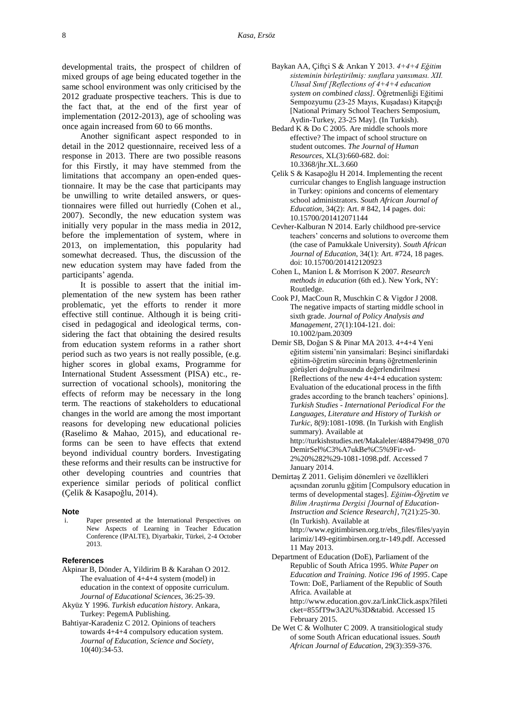developmental traits, the prospect of children of mixed groups of age being educated together in the same school environment was only criticised by the 2012 graduate prospective teachers. This is due to the fact that, at the end of the first year of implementation (2012-2013), age of schooling was once again increased from 60 to 66 months.

Another significant aspect responded to in detail in the 2012 questionnaire, received less of a response in 2013. There are two possible reasons for this Firstly, it may have stemmed from the limitations that accompany an open-ended questionnaire. It may be the case that participants may be unwilling to write detailed answers, or questionnaires were filled out hurriedly (Cohen et al., 2007). Secondly, the new education system was initially very popular in the mass media in 2012, before the implementation of system, where in 2013, on implementation, this popularity had somewhat decreased. Thus, the discussion of the new education system may have faded from the participants' agenda.

It is possible to assert that the initial implementation of the new system has been rather problematic, yet the efforts to render it more effective still continue. Although it is being criticised in pedagogical and ideological terms, considering the fact that obtaining the desired results from education system reforms in a rather short period such as two years is not really possible, (e.g. higher scores in global exams, Programme for International Student Assessment (PISA) etc., resurrection of vocational schools), monitoring the effects of reform may be necessary in the long term. The reactions of stakeholders to educational changes in the world are among the most important reasons for developing new educational policies (Raselimo & Mahao, 2015), and educational reforms can be seen to have effects that extend beyond individual country borders. Investigating these reforms and their results can be instructive for other developing countries and countries that experience similar periods of political conflict (Çelik & Kasapoğlu, 2014).

#### **Note**

Paper presented at the International Perspectives on New Aspects of Learning in Teacher Education Conference (IPALTE), Diyarbakir, Türkei, 2-4 October 2013.

#### **References**

- Akpinar B, Dönder A, Yildirim B & Karahan O 2012. The evaluation of 4+4+4 system (model) in education in the context of opposite curriculum. *Journal of Educational Sciences*, 36:25-39.
- Akyüz Y 1996. *Turkish education history*. Ankara, Turkey: PegemA Publishing.
- Bahtiyar-Karadeniz C 2012. Opinions of teachers towards 4+4+4 compulsory education system. *Journal of Education, Science and Society*, 10(40):34-53.
- Baykan AA, Çiftçi S & Arıkan Y 2013. *4+4+4 Eğitim sisteminin birleştirilmiş: sınıflara yansıması. XII. Ulusal Sınıf [Reflections of 4+4+4 education system on combined class].* Öğretmenliği Eğitimi Sempozyumu (23-25 Mayıs, Kuşadası) Kitapçığı [National Primary School Teachers Semposium, Aydin-Turkey, 23-25 May]. (In Turkish).
- Bedard K & Do C 2005. Are middle schools more effective? The impact of school structure on student outcomes. *The Journal of Human Resources*, XL(3):660-682. [doi:](http://jhr.uwpress.org/content/XL/3/660.short)  [10.3368/jhr.XL.3.660](http://jhr.uwpress.org/content/XL/3/660.short)
- Çelik S & Kasapoğlu H 2014. Implementing the recent curricular changes to English language instruction in Turkey: opinions and concerns of elementary school administrators. *South African Journal of Education*, 34(2): Art. # 842, 14 pages. [doi:](http://www.sajournalofeducation.co.za/index.php/saje/article/view/842/441)  [10.15700/201412071144](http://www.sajournalofeducation.co.za/index.php/saje/article/view/842/441)
- Cevher-Kalburan N 2014. Early childhood pre-service teachers' concerns and solutions to overcome them (the case of Pamukkale University). *South African Journal of Education*, 34(1): Art. #724, 18 pages. [doi: 10.15700/201412120923](http://www.sajournalofeducation.co.za/index.php/saje/article/view/724/393)
- Cohen L, Manion L & Morrison K 2007. *Research methods in education* (6th ed.). New York, NY: Routledge.
- Cook PJ, MacCoun R, Muschkin C & Vigdor J 2008. The negative impacts of starting middle school in sixth grade. *Journal of Policy Analysis and Management*, 27(1):104-121[. doi:](http://onlinelibrary.wiley.com/doi/10.1002/pam.20309/abstract;jsessionid=750F7AAF265E11D97CE6E49118990A18.f01t02)  [10.1002/pam.20309](http://onlinelibrary.wiley.com/doi/10.1002/pam.20309/abstract;jsessionid=750F7AAF265E11D97CE6E49118990A18.f01t02)
- Demir SB, Doğan S & Pinar MA 2013. 4+4+4 Yeni eğitim sistemi'nin yansimalari: Beşinci siniflardaki eğitim-öğretim sürecinin branş öğretmenlerinin görüşleri doğrultusunda değerlendirilmesi [Reflections of the new 4+4+4 education system: Evaluation of the educational process in the fifth grades according to the branch teachers' opinions]. *Turkish Studies - International Periodical For the Languages, Literature and History of Turkish or Turkic*, 8(9):1081-1098. (In Turkish with English summary). Available at [http://turkishstudies.net/Makaleler/488479498\\_070](http://turkishstudies.net/Makaleler/488479498_070DemirSel%C3%A7ukBe%C5%9Fir-vd-2%20%282%29-1081-1098.pdf) [DemirSel%C3%A7ukBe%C5%9Fir-vd-](http://turkishstudies.net/Makaleler/488479498_070DemirSel%C3%A7ukBe%C5%9Fir-vd-2%20%282%29-1081-1098.pdf)[2%20%282%29-1081-1098.pdf.](http://turkishstudies.net/Makaleler/488479498_070DemirSel%C3%A7ukBe%C5%9Fir-vd-2%20%282%29-1081-1098.pdf) Accessed 7 January 2014.
- Demirtaş Z 2011. Gelişim dönemleri ve özellikleri açısından zorunlu gğitim [Compulsory education in terms of developmental stages]. *Eğitim-Öğretim ve Bilim Araştirma Dergisi [Journal of Education-Instruction and Science Research]*, 7(21):25-30. (In Turkish). Available at [http://www.egitimbirsen.org.tr/ebs\\_files/files/yayin](http://www.egitimbirsen.org.tr/ebs_files/files/yayinlarimiz/149-egitimbirsen.org.tr-149.pdf) [larimiz/149-egitimbirsen.org.tr-149.pdf.](http://www.egitimbirsen.org.tr/ebs_files/files/yayinlarimiz/149-egitimbirsen.org.tr-149.pdf) Accessed 11 May 2013.
- Department of Education (DoE), Parliament of the Republic of South Africa 1995. *White Paper on Education and Training. Notice 196 of 1995*. Cape Town: DoE, Parliament of the Republic of South Africa. Available at http://www.education.gov.za/LinkClick.aspx?fileti cket=855fT9w3A2U%3D&tabid. Accessed 15 February 2015.
- De Wet C & Wolhuter C 2009. A transitiological study of some South African educational issues. *South African Journal of Education*, 29(3):359-376.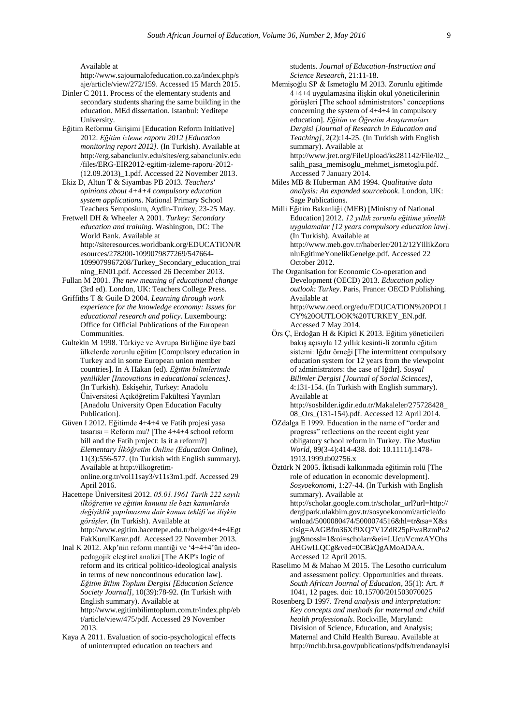Available at

[http://www.sajournalofeducation.co.za/index.php/s](http://www.sajournalofeducation.co.za/index.php/saje/article/view/272/159) [aje/article/view/272/159.](http://www.sajournalofeducation.co.za/index.php/saje/article/view/272/159) Accessed 15 March 2015.

- Dinler C 2011. Process of the elementary students and secondary students sharing the same building in the education. MEd dissertation. Istanbul: Yeditepe University.
- Eğitim Reformu Girişimi [Education Reform Initiative] 2012. *Eğitim izleme raporu 2012 [Education monitoring report 2012]*. (In Turkish). Available at [http://erg.sabanciuniv.edu/sites/erg.sabanciuniv.edu](http://erg.sabanciuniv.edu/sites/erg.sabanciuniv.edu/files/ERG-EIR2012-egitim-izleme-raporu-2012-(12.09.2013)_1.pdf) [/files/ERG-EIR2012-egitim-izleme-raporu-2012-](http://erg.sabanciuniv.edu/sites/erg.sabanciuniv.edu/files/ERG-EIR2012-egitim-izleme-raporu-2012-(12.09.2013)_1.pdf) [\(12.09.2013\)\\_1.pdf.](http://erg.sabanciuniv.edu/sites/erg.sabanciuniv.edu/files/ERG-EIR2012-egitim-izleme-raporu-2012-(12.09.2013)_1.pdf) Accessed 22 November 2013.
- Ekiz D, Altun T & Siyambas PB 2013. *Teachers' opinions about 4+4+4 compulsory education system applications*. National Primary School Teachers Semposium, Aydin-Turkey, 23-25 May.
- Fretwell DH & Wheeler A 2001. *Turkey: Secondary education and training*. Washington, DC: The World Bank. Available at [http://siteresources.worldbank.org/EDUCATION/R](http://siteresources.worldbank.org/EDUCATION/Resources/278200-1099079877269/547664-1099079967208/Turkey_Secondary_education_training_EN01.pdf) [esources/278200-1099079877269/547664-](http://siteresources.worldbank.org/EDUCATION/Resources/278200-1099079877269/547664-1099079967208/Turkey_Secondary_education_training_EN01.pdf) [1099079967208/Turkey\\_Secondary\\_education\\_trai](http://siteresources.worldbank.org/EDUCATION/Resources/278200-1099079877269/547664-1099079967208/Turkey_Secondary_education_training_EN01.pdf) [ning\\_EN01.pdf.](http://siteresources.worldbank.org/EDUCATION/Resources/278200-1099079877269/547664-1099079967208/Turkey_Secondary_education_training_EN01.pdf) Accessed 26 December 2013.
- Fullan M 2001. *The new meaning of educational change* (3rd ed). London, UK: Teachers College Press.
- Griffiths T & Guile D 2004. *Learning through work experience for the knowledge economy: Issues for educational research and policy*. Luxembourg: Office for Official Publications of the European Communities.
- Gultekin M 1998. Türkiye ve Avrupa Birliğine üye bazi ülkelerde zorunlu eğitim [Compulsory education in Turkey and in some European union member countries]. In A Hakan (ed). *Eğitim bilimlerinde yenilikler [Innovations in educational sciences]*. (In Turkish). Eskişehir, Turkey: Anadolu Üniversitesi Açıköğretim Fakültesi Yayınları [Anadolu University Open Education Faculty Publication].
- Güven I 2012. Eğitimde 4+4+4 ve Fatih projesi yasa tasarısı = Reform mu? [The 4+4+4 school reform bill and the Fatih project: Is it a reform?] *Elementary İlköğretim Online (Education Online)*, 11(3):556-577. (In Turkish with English summary). Available a[t http://ilkogretim](http://ilkogretim-online.org.tr/vol11say3/v11s3m1.pdf)[online.org.tr/vol11say3/v11s3m1.pdf.](http://ilkogretim-online.org.tr/vol11say3/v11s3m1.pdf) Accessed 29 April 2016.
- Hacettepe Üniversitesi 2012. *05.01.1961 Tarih 222 sayılı ilköğretim ve eğitim kanunu ile bazı kanunlarda değişiklik yapılmasına dair kanun teklifi'ne ilişkin görüşler*. (In Turkish). Available at [http://www.egitim.hacettepe.edu.tr/belge/4+4+4Egt](http://www.egitim.hacettepe.edu.tr/belge/4+4+4EgtFakKurulKarar.pdf) [FakKurulKarar.pdf.](http://www.egitim.hacettepe.edu.tr/belge/4+4+4EgtFakKurulKarar.pdf) Accessed 22 November 2013.
- Inal K 2012. Akp'nin reform mantiği ve '4+4+4'ün ideopedagojik eleştirel analizi [The AKP's logic of reform and its critical politico-ideological analysis in terms of new noncontinous education law]. *Eğitim Bilim Toplum Dergisi [Education Science Society Journal]*, 10(39):78-92. (In Turkish with English summary). Available at [http://www.egitimbilimtoplum.com.tr/index.php/eb](http://www.egitimbilimtoplum.com.tr/index.php/ebt/article/view/475/pdf) [t/article/view/475/pdf.](http://www.egitimbilimtoplum.com.tr/index.php/ebt/article/view/475/pdf) Accessed 29 November 2013.
- Kaya A 2011. Evaluation of socio-psychological effects of uninterrupted education on teachers and

students*. Journal of Education-Instruction and Science Research*, 21:11-18.

- Memişoğlu SP & Ismetoğlu M 2013. Zorunlu eğitimde 4+4+4 uygulamasina ilişkin okul yöneticilerinin görüşleri [The school administrators' conceptions concerning the system of 4+4+4 in compulsory education]. *Eğitim ve Öğretim Araştırmaları Dergisi [Journal of Research in Education and Teaching]*, 2(2):14-25. (In Turkish with English summary). Available at [http://www.jret.org/FileUpload/ks281142/File/02.\\_](http://www.jret.org/FileUpload/ks281142/File/02._salih_pasa_memisoglu_mehmet_ismetoglu.pdf) [salih\\_pasa\\_memisoglu\\_mehmet\\_ismetoglu.pdf.](http://www.jret.org/FileUpload/ks281142/File/02._salih_pasa_memisoglu_mehmet_ismetoglu.pdf)  Accessed 7 January 2014.
- Miles MB & Huberman AM 1994. *Qualitative data analysis: An expanded sourcebook*. London, UK: Sage Publications.
- Milli Eğitim Bakanliği (MEB) [Ministry of National Education] 2012. *12 yıllık zorunlu eğitime yönelik uygulamalar [12 years compulsory education law]*. (In Turkish). Available at [http://www.meb.gov.tr/haberler/2012/12YillikZoru](http://www.meb.gov.tr/haberler/2012/12YillikZorunluEgitimeYonelikGenelge.pdf) [nluEgitimeYonelikGenelge.pdf.](http://www.meb.gov.tr/haberler/2012/12YillikZorunluEgitimeYonelikGenelge.pdf) Accessed 22 October 2012.
- The Organisation for Economic Co-operation and Development (OECD) 2013. *Education policy outlook: Turkey*. Paris, France: OECD Publishing. Available at [http://www.oecd.org/edu/EDUCATION%20POLI](http://www.oecd.org/edu/EDUCATION%20POLICY%20OUTLOOK%20TURKEY_EN.pdf) [CY%20OUTLOOK%20TURKEY\\_EN.pdf.](http://www.oecd.org/edu/EDUCATION%20POLICY%20OUTLOOK%20TURKEY_EN.pdf) Accessed 7 May 2014.
- Örs Ç, Erdoğan H & Kipici K 2013. Eğitim yöneticileri bakış açısıyla 12 yıllık kesinti-li zorunlu eğitim sistemi: Iğdır örneği [The intermittent compulsory education system for 12 years from the viewpoint of administrators: the case of Iğdır]. *Sosyal Bilimler Dergisi [Journal of Social Sciences]*, 4:131-154. (In Turkish with English summary). Available at
	- [http://sosbilder.igdir.edu.tr/Makaleler/275728428\\_](http://sosbilder.igdir.edu.tr/Makaleler/275728428_08_Ors_(131-154).pdf) [08\\_Ors\\_\(131-154\).pdf.](http://sosbilder.igdir.edu.tr/Makaleler/275728428_08_Ors_(131-154).pdf) Accessed 12 April 2014.
- ÖZdalga E 1999. Education in the name of "order and progress" reflections on the recent eight year obligatory school reform in Turkey. *The Muslim World*, 89(3-4):414-438[. doi: 10.1111/j.1478-](http://onlinelibrary.wiley.com/doi/10.1111/j.1478-1913.1999.tb02756.x/abstract) [1913.1999.tb02756.x](http://onlinelibrary.wiley.com/doi/10.1111/j.1478-1913.1999.tb02756.x/abstract)
- Öztürk N 2005. İktisadi kalkınmada eğitimin rolü [The role of education in economic development]. *Sosyoekonomi*, 1:27-44. (In Turkish with English summary). Available at [http://scholar.google.com.tr/scholar\\_url?url=http://](http://scholar.google.com.tr/scholar_url?url=http://dergipark.ulakbim.gov.tr/sosyoekonomi/article/download/5000080474/5000074516&hl=tr&sa=X&scisig=AAGBfm36Xf9XQ7V1ZdR25pFwaBzmPo2jug&nossl=1&oi=scholarr&ei=LUcuVcmzAYOhsAHGwILQCg&ved=0CBkQgAMoADAA) [dergipark.ulakbim.gov.tr/sosyoekonomi/article/do](http://scholar.google.com.tr/scholar_url?url=http://dergipark.ulakbim.gov.tr/sosyoekonomi/article/download/5000080474/5000074516&hl=tr&sa=X&scisig=AAGBfm36Xf9XQ7V1ZdR25pFwaBzmPo2jug&nossl=1&oi=scholarr&ei=LUcuVcmzAYOhsAHGwILQCg&ved=0CBkQgAMoADAA) [wnload/5000080474/5000074516&hl=tr&sa=X&s](http://scholar.google.com.tr/scholar_url?url=http://dergipark.ulakbim.gov.tr/sosyoekonomi/article/download/5000080474/5000074516&hl=tr&sa=X&scisig=AAGBfm36Xf9XQ7V1ZdR25pFwaBzmPo2jug&nossl=1&oi=scholarr&ei=LUcuVcmzAYOhsAHGwILQCg&ved=0CBkQgAMoADAA) [cisig=AAGBfm36Xf9XQ7V1ZdR25pFwaBzmPo2](http://scholar.google.com.tr/scholar_url?url=http://dergipark.ulakbim.gov.tr/sosyoekonomi/article/download/5000080474/5000074516&hl=tr&sa=X&scisig=AAGBfm36Xf9XQ7V1ZdR25pFwaBzmPo2jug&nossl=1&oi=scholarr&ei=LUcuVcmzAYOhsAHGwILQCg&ved=0CBkQgAMoADAA) [jug&nossl=1&oi=scholarr&ei=LUcuVcmzAYOhs](http://scholar.google.com.tr/scholar_url?url=http://dergipark.ulakbim.gov.tr/sosyoekonomi/article/download/5000080474/5000074516&hl=tr&sa=X&scisig=AAGBfm36Xf9XQ7V1ZdR25pFwaBzmPo2jug&nossl=1&oi=scholarr&ei=LUcuVcmzAYOhsAHGwILQCg&ved=0CBkQgAMoADAA) [AHGwILQCg&ved=0CBkQgAMoADAA.](http://scholar.google.com.tr/scholar_url?url=http://dergipark.ulakbim.gov.tr/sosyoekonomi/article/download/5000080474/5000074516&hl=tr&sa=X&scisig=AAGBfm36Xf9XQ7V1ZdR25pFwaBzmPo2jug&nossl=1&oi=scholarr&ei=LUcuVcmzAYOhsAHGwILQCg&ved=0CBkQgAMoADAA) Accessed 12 April 2015.
- Raselimo M & Mahao M 2015. The Lesotho curriculum and assessment policy: Opportunities and threats. *South African Journal of Education*, 35(1): Art. # 1041, 12 pages[. doi: 10.15700/201503070025](http://www.sajournalofeducation.co.za/index.php/saje/article/view/1041/497)
- Rosenberg D 1997. *Trend analysis and interpretation: Key concepts and methods for maternal and child health professionals*. Rockville, Maryland: Division of Science, Education, and Analysis; Maternal and Child Health Bureau. Available at [http://mchb.hrsa.gov/publications/pdfs/trendanaylsi](http://mchb.hrsa.gov/publications/pdfs/trendanaylsi%0es.pdf)